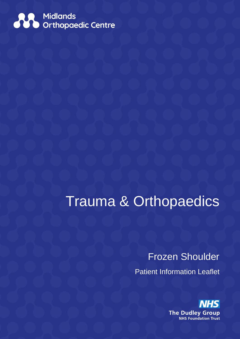

# Trauma & Orthopaedics

## Frozen Shoulder

Patient Information Leaflet

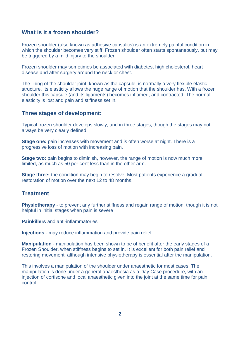### **What is it a frozen shoulder?**

Frozen shoulder (also known as adhesive capsulitis) is an extremely painful condition in which the shoulder becomes very stiff. Frozen shoulder often starts spontaneously, but may be triggered by a mild injury to the shoulder.

Frozen shoulder may sometimes be associated with diabetes, high cholesterol, heart disease and after surgery around the neck or chest.

The lining of the shoulder joint, known as the capsule, is normally a very flexible elastic structure. Its elasticity allows the huge range of motion that the shoulder has. With a frozen shoulder this capsule (and its ligaments) becomes inflamed, and contracted. The normal elasticity is lost and pain and stiffness set in.

#### **Three stages of development:**

Typical frozen shoulder develops slowly, and in three stages, though the stages may not always be very clearly defined:

**Stage one:** pain increases with movement and is often worse at night. There is a progressive loss of motion with increasing pain.

**Stage two:** pain begins to diminish, however, the range of motion is now much more limited, as much as 50 per cent less than in the other arm.

**Stage three:** the condition may begin to resolve. Most patients experience a gradual restoration of motion over the next 12 to 48 months.

### **Treatment**

**Physiotherapy** - to prevent any further stiffness and regain range of motion, though it is not helpful in initial stages when pain is severe

**Painkillers** and anti-inflammatories

**Injections** - may reduce inflammation and provide pain relief

**Manipulation** - manipulation has been shown to be of benefit after the early stages of a Frozen Shoulder, when stiffness begins to set in. It is excellent for both pain relief and restoring movement, although intensive physiotherapy is essential after the manipulation.

This involves a manipulation of the shoulder under anaesthetic for most cases. The manipulation is done under a general anaesthesia as a Day Case procedure, with an injection of cortisone and local anaesthetic given into the joint at the same time for pain control.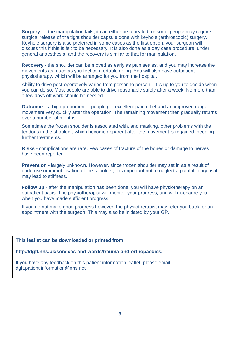**Surgery** - if the manipulation fails, it can either be repeated, or some people may require surgical release of the tight shoulder capsule done with keyhole (arthroscopic) surgery. Keyhole surgery is also preferred in some cases as the first option; your surgeon will discuss this if this is felt to be necessary. It is also done as a day case procedure, under general anaesthesia, and the recovery is similar to that for manipulation.

**Recovery** - the shoulder can be moved as early as pain settles, and you may increase the movements as much as you feel comfortable doing. You will also have outpatient physiotherapy, which will be arranged for you from the hospital.

Ability to drive post-operatively varies from person to person - it is up to you to decide when you can do so. Most people are able to drive reasonably safely after a week. No more than a few days off work should be needed.

**Outcome** – a high proportion of people get excellent pain relief and an improved range of movement very quickly after the operation. The remaining movement then gradually returns over a number of months.

Sometimes the frozen shoulder is associated with, and masking, other problems with the tendons in the shoulder, which become apparent after the movement is regained, needing further treatments.

**Risks** - complications are rare. Few cases of fracture of the bones or damage to nerves have been reported.

**Prevention** - largely unknown. However, since frozen shoulder may set in as a result of underuse or immobilisation of the shoulder, it is important not to neglect a painful injury as it may lead to stiffness.

**Follow up** - after the manipulation has been done, you will have physiotherapy on an outpatient basis. The physiotherapist will monitor your progress, and will discharge you when you have made sufficient progress.

If you do not make good progress however, the physiotherapist may refer you back for an appointment with the surgeon. This may also be initiated by your GP.

**This leaflet can be downloaded or printed from:**

**<http://dgft.nhs.uk/services-and-wards/trauma-and-orthopaedics/>**

If you have any feedback on this patient information leaflet, please email dgft.patient.information@nhs.net